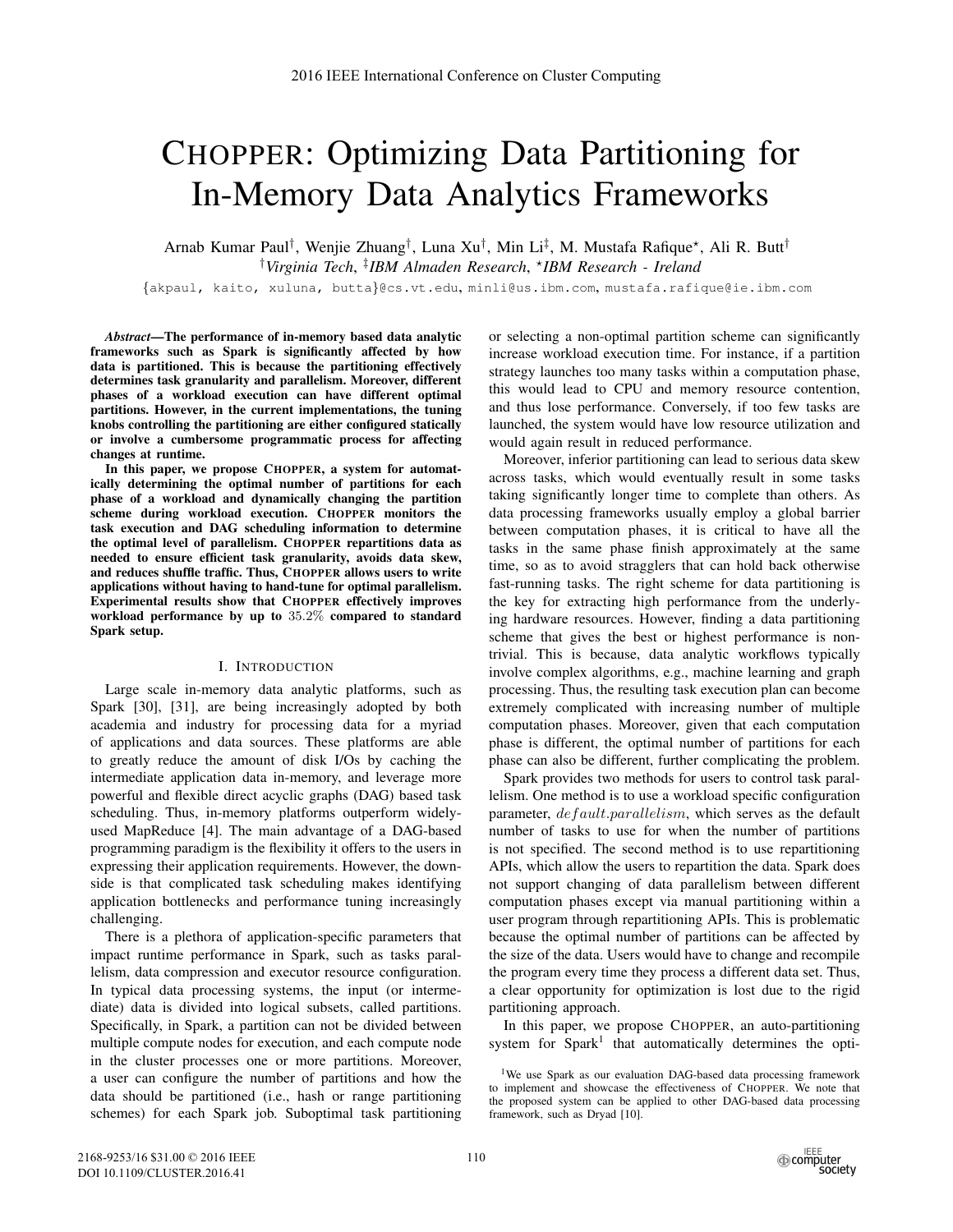# CHOPPER: Optimizing Data Partitioning for In-Memory Data Analytics Frameworks

Arnab Kumar Paul<sup>†</sup>, Wenjie Zhuang<sup>†</sup>, Luna Xu<sup>†</sup>, Min Li<sup>‡</sup>, M. Mustafa Rafique\*, Ali R. Butt<sup>†</sup> †*Virginia Tech*, ‡*IBM Almaden Research*, -*IBM Research - Ireland*

{akpaul, kaito, xuluna, butta}@cs.vt.edu, minli@us.ibm.com, mustafa.rafique@ie.ibm.com

*Abstract*—The performance of in-memory based data analytic frameworks such as Spark is significantly affected by how data is partitioned. This is because the partitioning effectively determines task granularity and parallelism. Moreover, different phases of a workload execution can have different optimal partitions. However, in the current implementations, the tuning knobs controlling the partitioning are either configured statically or involve a cumbersome programmatic process for affecting changes at runtime.

In this paper, we propose CHOPPER, a system for automatically determining the optimal number of partitions for each phase of a workload and dynamically changing the partition scheme during workload execution. CHOPPER monitors the task execution and DAG scheduling information to determine the optimal level of parallelism. CHOPPER repartitions data as needed to ensure efficient task granularity, avoids data skew, and reduces shuffle traffic. Thus, CHOPPER allows users to write applications without having to hand-tune for optimal parallelism. Experimental results show that CHOPPER effectively improves workload performance by up to 35.2% compared to standard Spark setup.

# I. INTRODUCTION

Large scale in-memory data analytic platforms, such as Spark [30], [31], are being increasingly adopted by both academia and industry for processing data for a myriad of applications and data sources. These platforms are able to greatly reduce the amount of disk I/Os by caching the intermediate application data in-memory, and leverage more powerful and flexible direct acyclic graphs (DAG) based task scheduling. Thus, in-memory platforms outperform widelyused MapReduce [4]. The main advantage of a DAG-based programming paradigm is the flexibility it offers to the users in expressing their application requirements. However, the downside is that complicated task scheduling makes identifying application bottlenecks and performance tuning increasingly challenging.

There is a plethora of application-specific parameters that impact runtime performance in Spark, such as tasks parallelism, data compression and executor resource configuration. In typical data processing systems, the input (or intermediate) data is divided into logical subsets, called partitions. Specifically, in Spark, a partition can not be divided between multiple compute nodes for execution, and each compute node in the cluster processes one or more partitions. Moreover, a user can configure the number of partitions and how the data should be partitioned (i.e., hash or range partitioning schemes) for each Spark job. Suboptimal task partitioning or selecting a non-optimal partition scheme can significantly increase workload execution time. For instance, if a partition strategy launches too many tasks within a computation phase, this would lead to CPU and memory resource contention, and thus lose performance. Conversely, if too few tasks are launched, the system would have low resource utilization and would again result in reduced performance.

Moreover, inferior partitioning can lead to serious data skew across tasks, which would eventually result in some tasks taking significantly longer time to complete than others. As data processing frameworks usually employ a global barrier between computation phases, it is critical to have all the tasks in the same phase finish approximately at the same time, so as to avoid stragglers that can hold back otherwise fast-running tasks. The right scheme for data partitioning is the key for extracting high performance from the underlying hardware resources. However, finding a data partitioning scheme that gives the best or highest performance is nontrivial. This is because, data analytic workflows typically involve complex algorithms, e.g., machine learning and graph processing. Thus, the resulting task execution plan can become extremely complicated with increasing number of multiple computation phases. Moreover, given that each computation phase is different, the optimal number of partitions for each phase can also be different, further complicating the problem.

Spark provides two methods for users to control task parallelism. One method is to use a workload specific configuration parameter, *def ault.parallelism*, which serves as the default number of tasks to use for when the number of partitions is not specified. The second method is to use repartitioning APIs, which allow the users to repartition the data. Spark does not support changing of data parallelism between different computation phases except via manual partitioning within a user program through repartitioning APIs. This is problematic because the optimal number of partitions can be affected by the size of the data. Users would have to change and recompile the program every time they process a different data set. Thus, a clear opportunity for optimization is lost due to the rigid partitioning approach.

In this paper, we propose CHOPPER, an auto-partitioning system for  $Spark<sup>1</sup>$  that automatically determines the opti-

<sup>&</sup>lt;sup>1</sup>We use Spark as our evaluation DAG-based data processing framework to implement and showcase the effectiveness of CHOPPER. We note that the proposed system can be applied to other DAG-based data processing framework, such as Dryad [10].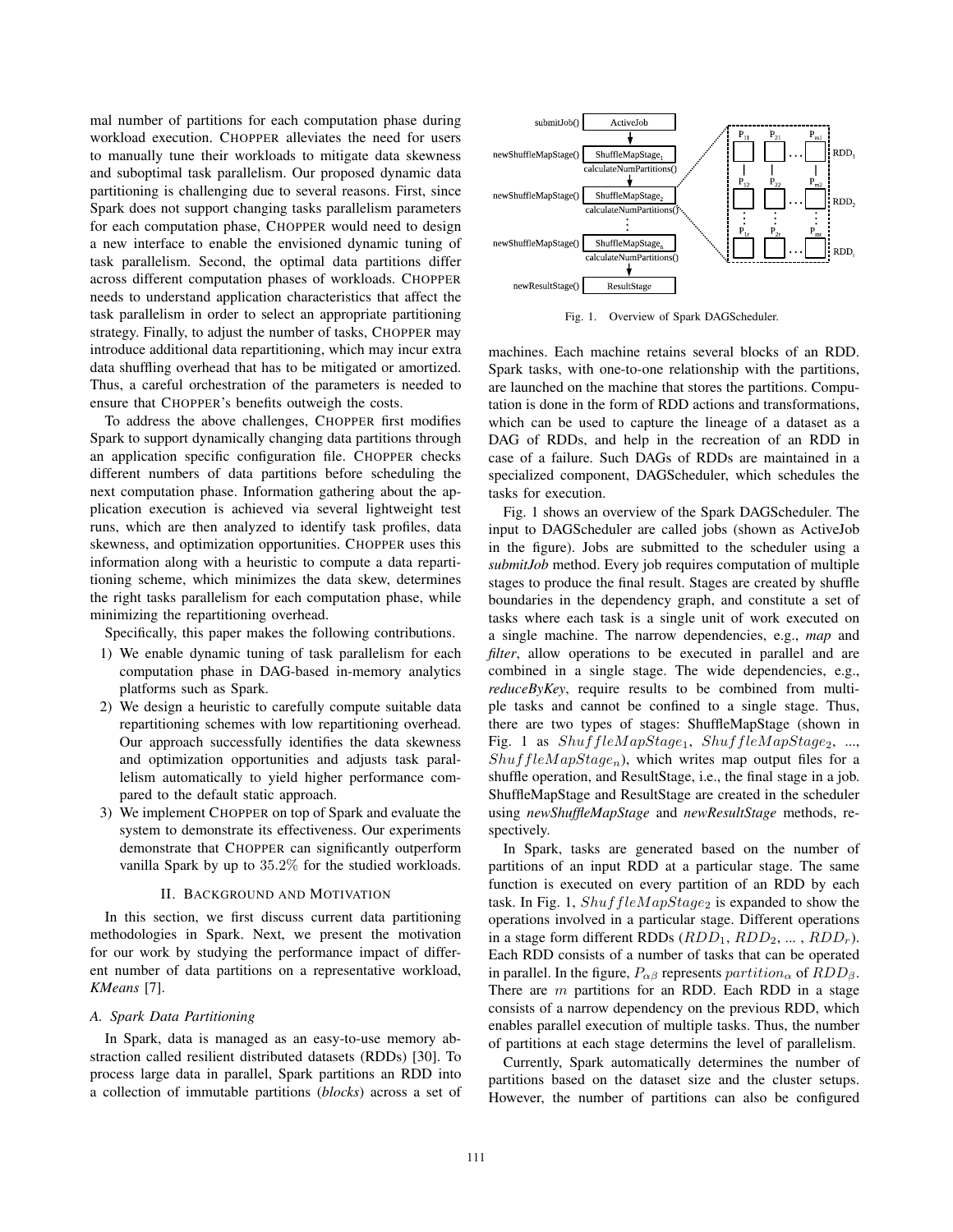mal number of partitions for each computation phase during workload execution. CHOPPER alleviates the need for users to manually tune their workloads to mitigate data skewness and suboptimal task parallelism. Our proposed dynamic data partitioning is challenging due to several reasons. First, since Spark does not support changing tasks parallelism parameters for each computation phase, CHOPPER would need to design a new interface to enable the envisioned dynamic tuning of task parallelism. Second, the optimal data partitions differ across different computation phases of workloads. CHOPPER needs to understand application characteristics that affect the task parallelism in order to select an appropriate partitioning strategy. Finally, to adjust the number of tasks, CHOPPER may introduce additional data repartitioning, which may incur extra data shuffling overhead that has to be mitigated or amortized. Thus, a careful orchestration of the parameters is needed to ensure that CHOPPER's benefits outweigh the costs.

To address the above challenges, CHOPPER first modifies Spark to support dynamically changing data partitions through an application specific configuration file. CHOPPER checks different numbers of data partitions before scheduling the next computation phase. Information gathering about the application execution is achieved via several lightweight test runs, which are then analyzed to identify task profiles, data skewness, and optimization opportunities. CHOPPER uses this information along with a heuristic to compute a data repartitioning scheme, which minimizes the data skew, determines the right tasks parallelism for each computation phase, while minimizing the repartitioning overhead.

Specifically, this paper makes the following contributions.

- 1) We enable dynamic tuning of task parallelism for each computation phase in DAG-based in-memory analytics platforms such as Spark.
- 2) We design a heuristic to carefully compute suitable data repartitioning schemes with low repartitioning overhead. Our approach successfully identifies the data skewness and optimization opportunities and adjusts task parallelism automatically to yield higher performance compared to the default static approach.
- 3) We implement CHOPPER on top of Spark and evaluate the system to demonstrate its effectiveness. Our experiments demonstrate that CHOPPER can significantly outperform vanilla Spark by up to 35.2% for the studied workloads.

#### II. BACKGROUND AND MOTIVATION

In this section, we first discuss current data partitioning methodologies in Spark. Next, we present the motivation for our work by studying the performance impact of different number of data partitions on a representative workload, *KMeans* [7].

# *A. Spark Data Partitioning*

In Spark, data is managed as an easy-to-use memory abstraction called resilient distributed datasets (RDDs) [30]. To process large data in parallel, Spark partitions an RDD into a collection of immutable partitions (*blocks*) across a set of



Fig. 1. Overview of Spark DAGScheduler.

machines. Each machine retains several blocks of an RDD. Spark tasks, with one-to-one relationship with the partitions, are launched on the machine that stores the partitions. Computation is done in the form of RDD actions and transformations, which can be used to capture the lineage of a dataset as a DAG of RDDs, and help in the recreation of an RDD in case of a failure. Such DAGs of RDDs are maintained in a specialized component, DAGScheduler, which schedules the tasks for execution.

Fig. 1 shows an overview of the Spark DAGScheduler. The input to DAGScheduler are called jobs (shown as ActiveJob in the figure). Jobs are submitted to the scheduler using a *submitJob* method. Every job requires computation of multiple stages to produce the final result. Stages are created by shuffle boundaries in the dependency graph, and constitute a set of tasks where each task is a single unit of work executed on a single machine. The narrow dependencies, e.g., *map* and *filter*, allow operations to be executed in parallel and are combined in a single stage. The wide dependencies, e.g., *reduceByKey*, require results to be combined from multiple tasks and cannot be confined to a single stage. Thus, there are two types of stages: ShuffleMapStage (shown in Fig. 1 as  $ShuffleMapStage_1$ ,  $ShuffleMapStage_2$ , ...,  $ShuffleMapStage_n$ ), which writes map output files for a shuffle operation, and ResultStage, i.e., the final stage in a job. ShuffleMapStage and ResultStage are created in the scheduler using *newShuffleMapStage* and *newResultStage* methods, respectively.

In Spark, tasks are generated based on the number of partitions of an input RDD at a particular stage. The same function is executed on every partition of an RDD by each task. In Fig. 1,  $ShuffleMapStage_2$  is expanded to show the operations involved in a particular stage. Different operations in a stage form different RDDs  $(RDD_1, RDD_2, ..., RDD_r)$ . Each RDD consists of a number of tasks that can be operated in parallel. In the figure,  $P_{\alpha\beta}$  represents  $partition_{\alpha}$  of  $RDD_{\beta}$ . There are  $m$  partitions for an RDD. Each RDD in a stage consists of a narrow dependency on the previous RDD, which enables parallel execution of multiple tasks. Thus, the number of partitions at each stage determins the level of parallelism.

Currently, Spark automatically determines the number of partitions based on the dataset size and the cluster setups. However, the number of partitions can also be configured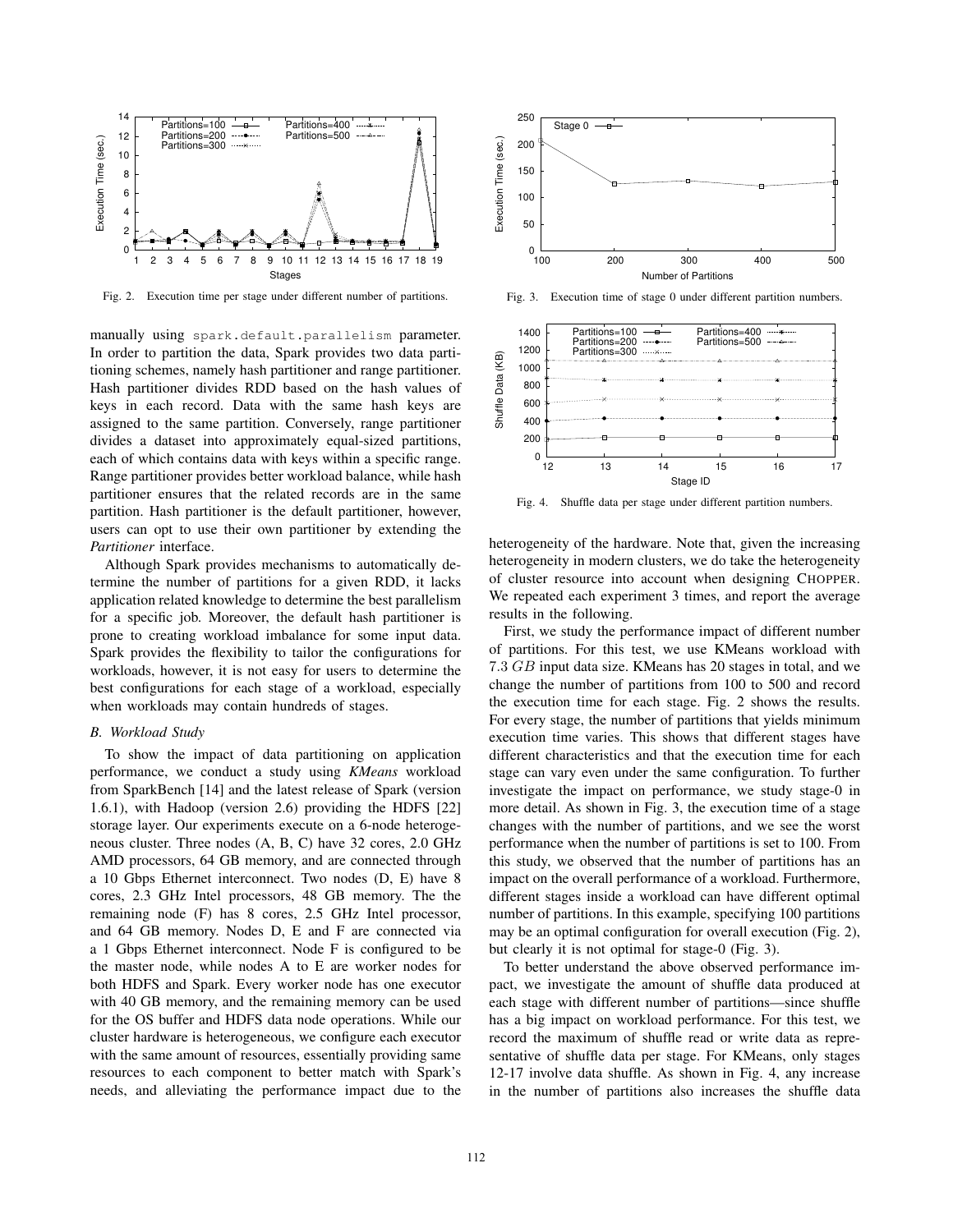

Fig. 2. Execution time per stage under different number of partitions.

manually using spark.default.parallelism parameter. In order to partition the data, Spark provides two data partitioning schemes, namely hash partitioner and range partitioner. Hash partitioner divides RDD based on the hash values of keys in each record. Data with the same hash keys are assigned to the same partition. Conversely, range partitioner divides a dataset into approximately equal-sized partitions, each of which contains data with keys within a specific range. Range partitioner provides better workload balance, while hash partitioner ensures that the related records are in the same partition. Hash partitioner is the default partitioner, however, users can opt to use their own partitioner by extending the *Partitioner* interface.

Although Spark provides mechanisms to automatically determine the number of partitions for a given RDD, it lacks application related knowledge to determine the best parallelism for a specific job. Moreover, the default hash partitioner is prone to creating workload imbalance for some input data. Spark provides the flexibility to tailor the configurations for workloads, however, it is not easy for users to determine the best configurations for each stage of a workload, especially when workloads may contain hundreds of stages.

#### *B. Workload Study*

To show the impact of data partitioning on application performance, we conduct a study using *KMeans* workload from SparkBench [14] and the latest release of Spark (version 1.6.1), with Hadoop (version 2.6) providing the HDFS [22] storage layer. Our experiments execute on a 6-node heterogeneous cluster. Three nodes (A, B, C) have 32 cores, 2.0 GHz AMD processors, 64 GB memory, and are connected through a 10 Gbps Ethernet interconnect. Two nodes (D, E) have 8 cores, 2.3 GHz Intel processors, 48 GB memory. The the remaining node (F) has 8 cores, 2.5 GHz Intel processor, and 64 GB memory. Nodes D, E and F are connected via a 1 Gbps Ethernet interconnect. Node F is configured to be the master node, while nodes A to E are worker nodes for both HDFS and Spark. Every worker node has one executor with 40 GB memory, and the remaining memory can be used for the OS buffer and HDFS data node operations. While our cluster hardware is heterogeneous, we configure each executor with the same amount of resources, essentially providing same resources to each component to better match with Spark's needs, and alleviating the performance impact due to the



Fig. 3. Execution time of stage 0 under different partition numbers.



Fig. 4. Shuffle data per stage under different partition numbers.

heterogeneity of the hardware. Note that, given the increasing heterogeneity in modern clusters, we do take the heterogeneity of cluster resource into account when designing CHOPPER. We repeated each experiment 3 times, and report the average results in the following.

First, we study the performance impact of different number of partitions. For this test, we use KMeans workload with 7.3 GB input data size. KMeans has 20 stages in total, and we change the number of partitions from 100 to 500 and record the execution time for each stage. Fig. 2 shows the results. For every stage, the number of partitions that yields minimum execution time varies. This shows that different stages have different characteristics and that the execution time for each stage can vary even under the same configuration. To further investigate the impact on performance, we study stage-0 in more detail. As shown in Fig. 3, the execution time of a stage changes with the number of partitions, and we see the worst performance when the number of partitions is set to 100. From this study, we observed that the number of partitions has an impact on the overall performance of a workload. Furthermore, different stages inside a workload can have different optimal number of partitions. In this example, specifying 100 partitions may be an optimal configuration for overall execution (Fig. 2), but clearly it is not optimal for stage-0 (Fig. 3).

To better understand the above observed performance impact, we investigate the amount of shuffle data produced at each stage with different number of partitions—since shuffle has a big impact on workload performance. For this test, we record the maximum of shuffle read or write data as representative of shuffle data per stage. For KMeans, only stages 12-17 involve data shuffle. As shown in Fig. 4, any increase in the number of partitions also increases the shuffle data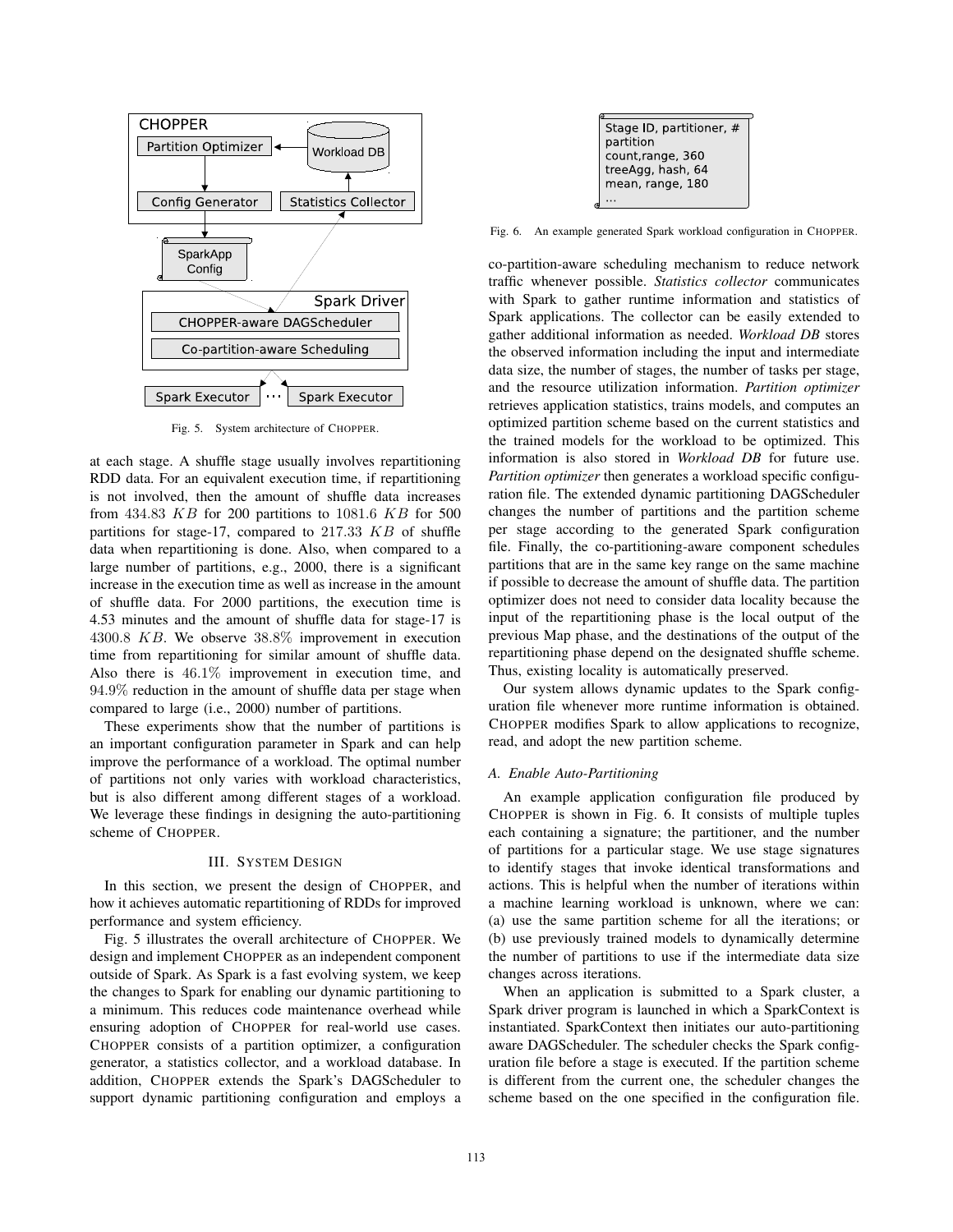

Fig. 5. System architecture of CHOPPER.

at each stage. A shuffle stage usually involves repartitioning RDD data. For an equivalent execution time, if repartitioning is not involved, then the amount of shuffle data increases from  $434.83$  KB for 200 partitions to  $1081.6$  KB for 500 partitions for stage-17, compared to  $217.33$   $KB$  of shuffle data when repartitioning is done. Also, when compared to a large number of partitions, e.g., 2000, there is a significant increase in the execution time as well as increase in the amount of shuffle data. For 2000 partitions, the execution time is 4.53 minutes and the amount of shuffle data for stage-17 is 4300.8 KB. We observe 38.8% improvement in execution time from repartitioning for similar amount of shuffle data. Also there is 46.1% improvement in execution time, and 94.9% reduction in the amount of shuffle data per stage when compared to large (i.e., 2000) number of partitions.

These experiments show that the number of partitions is an important configuration parameter in Spark and can help improve the performance of a workload. The optimal number of partitions not only varies with workload characteristics, but is also different among different stages of a workload. We leverage these findings in designing the auto-partitioning scheme of CHOPPER.

## III. SYSTEM DESIGN

In this section, we present the design of CHOPPER, and how it achieves automatic repartitioning of RDDs for improved performance and system efficiency.

Fig. 5 illustrates the overall architecture of CHOPPER. We design and implement CHOPPER as an independent component outside of Spark. As Spark is a fast evolving system, we keep the changes to Spark for enabling our dynamic partitioning to a minimum. This reduces code maintenance overhead while ensuring adoption of CHOPPER for real-world use cases. CHOPPER consists of a partition optimizer, a configuration generator, a statistics collector, and a workload database. In addition, CHOPPER extends the Spark's DAGScheduler to support dynamic partitioning configuration and employs a

| Stage ID, partitioner, # |
|--------------------------|
| partition                |
| count, range, 360        |
| treeAgg, hash, 64        |
| mean, range, 180         |
|                          |

Fig. 6. An example generated Spark workload configuration in CHOPPER.

co-partition-aware scheduling mechanism to reduce network traffic whenever possible. *Statistics collector* communicates with Spark to gather runtime information and statistics of Spark applications. The collector can be easily extended to gather additional information as needed. *Workload DB* stores the observed information including the input and intermediate data size, the number of stages, the number of tasks per stage, and the resource utilization information. *Partition optimizer* retrieves application statistics, trains models, and computes an optimized partition scheme based on the current statistics and the trained models for the workload to be optimized. This information is also stored in *Workload DB* for future use. *Partition optimizer* then generates a workload specific configuration file. The extended dynamic partitioning DAGScheduler changes the number of partitions and the partition scheme per stage according to the generated Spark configuration file. Finally, the co-partitioning-aware component schedules partitions that are in the same key range on the same machine if possible to decrease the amount of shuffle data. The partition optimizer does not need to consider data locality because the input of the repartitioning phase is the local output of the previous Map phase, and the destinations of the output of the repartitioning phase depend on the designated shuffle scheme. Thus, existing locality is automatically preserved.

Our system allows dynamic updates to the Spark configuration file whenever more runtime information is obtained. CHOPPER modifies Spark to allow applications to recognize, read, and adopt the new partition scheme.

#### *A. Enable Auto-Partitioning*

An example application configuration file produced by CHOPPER is shown in Fig. 6. It consists of multiple tuples each containing a signature; the partitioner, and the number of partitions for a particular stage. We use stage signatures to identify stages that invoke identical transformations and actions. This is helpful when the number of iterations within a machine learning workload is unknown, where we can: (a) use the same partition scheme for all the iterations; or (b) use previously trained models to dynamically determine the number of partitions to use if the intermediate data size changes across iterations.

When an application is submitted to a Spark cluster, a Spark driver program is launched in which a SparkContext is instantiated. SparkContext then initiates our auto-partitioning aware DAGScheduler. The scheduler checks the Spark configuration file before a stage is executed. If the partition scheme is different from the current one, the scheduler changes the scheme based on the one specified in the configuration file.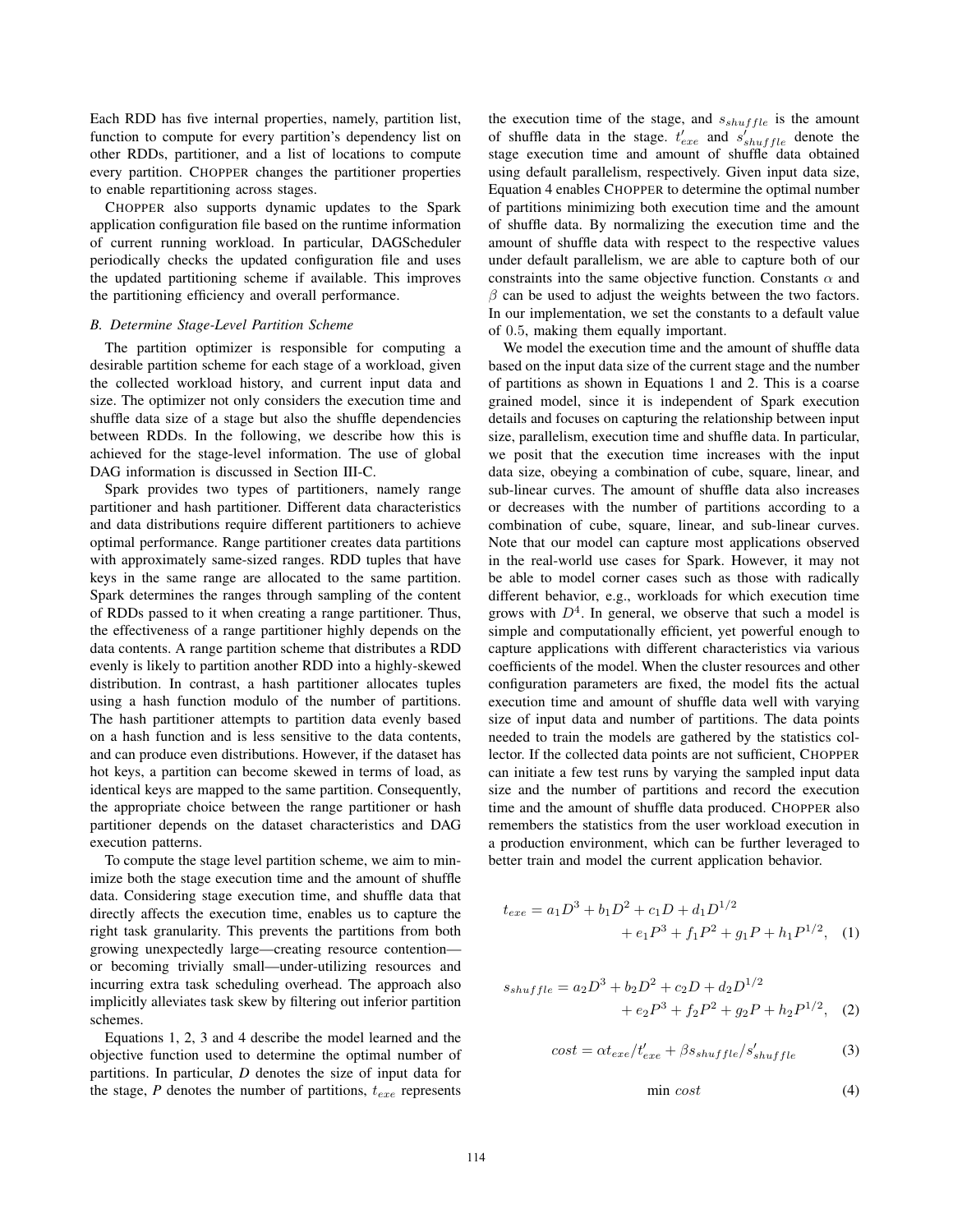Each RDD has five internal properties, namely, partition list, function to compute for every partition's dependency list on other RDDs, partitioner, and a list of locations to compute every partition. CHOPPER changes the partitioner properties to enable repartitioning across stages.

CHOPPER also supports dynamic updates to the Spark application configuration file based on the runtime information of current running workload. In particular, DAGScheduler periodically checks the updated configuration file and uses the updated partitioning scheme if available. This improves the partitioning efficiency and overall performance.

# *B. Determine Stage-Level Partition Scheme*

The partition optimizer is responsible for computing a desirable partition scheme for each stage of a workload, given the collected workload history, and current input data and size. The optimizer not only considers the execution time and shuffle data size of a stage but also the shuffle dependencies between RDDs. In the following, we describe how this is achieved for the stage-level information. The use of global DAG information is discussed in Section III-C.

Spark provides two types of partitioners, namely range partitioner and hash partitioner. Different data characteristics and data distributions require different partitioners to achieve optimal performance. Range partitioner creates data partitions with approximately same-sized ranges. RDD tuples that have keys in the same range are allocated to the same partition. Spark determines the ranges through sampling of the content of RDDs passed to it when creating a range partitioner. Thus, the effectiveness of a range partitioner highly depends on the data contents. A range partition scheme that distributes a RDD evenly is likely to partition another RDD into a highly-skewed distribution. In contrast, a hash partitioner allocates tuples using a hash function modulo of the number of partitions. The hash partitioner attempts to partition data evenly based on a hash function and is less sensitive to the data contents, and can produce even distributions. However, if the dataset has hot keys, a partition can become skewed in terms of load, as identical keys are mapped to the same partition. Consequently, the appropriate choice between the range partitioner or hash partitioner depends on the dataset characteristics and DAG execution patterns.

To compute the stage level partition scheme, we aim to minimize both the stage execution time and the amount of shuffle data. Considering stage execution time, and shuffle data that directly affects the execution time, enables us to capture the right task granularity. This prevents the partitions from both growing unexpectedly large—creating resource contention or becoming trivially small—under-utilizing resources and incurring extra task scheduling overhead. The approach also implicitly alleviates task skew by filtering out inferior partition schemes.

Equations 1, 2, 3 and 4 describe the model learned and the objective function used to determine the optimal number of partitions. In particular, *D* denotes the size of input data for the stage,  $P$  denotes the number of partitions,  $t_{exe}$  represents

the execution time of the stage, and  $s_{shuffle}$  is the amount of shuffle data in the stage.  $t'_{exe}$  and  $s'_{shuffle}$  denote the stage execution time and amount of shuffle data obtained using default parallelism, respectively. Given input data size, Equation 4 enables CHOPPER to determine the optimal number of partitions minimizing both execution time and the amount of shuffle data. By normalizing the execution time and the amount of shuffle data with respect to the respective values under default parallelism, we are able to capture both of our constraints into the same objective function. Constants  $\alpha$  and  $\beta$  can be used to adjust the weights between the two factors. In our implementation, we set the constants to a default value of 0.5, making them equally important.

We model the execution time and the amount of shuffle data based on the input data size of the current stage and the number of partitions as shown in Equations 1 and 2. This is a coarse grained model, since it is independent of Spark execution details and focuses on capturing the relationship between input size, parallelism, execution time and shuffle data. In particular, we posit that the execution time increases with the input data size, obeying a combination of cube, square, linear, and sub-linear curves. The amount of shuffle data also increases or decreases with the number of partitions according to a combination of cube, square, linear, and sub-linear curves. Note that our model can capture most applications observed in the real-world use cases for Spark. However, it may not be able to model corner cases such as those with radically different behavior, e.g., workloads for which execution time grows with  $D<sup>4</sup>$ . In general, we observe that such a model is simple and computationally efficient, yet powerful enough to capture applications with different characteristics via various coefficients of the model. When the cluster resources and other configuration parameters are fixed, the model fits the actual execution time and amount of shuffle data well with varying size of input data and number of partitions. The data points needed to train the models are gathered by the statistics collector. If the collected data points are not sufficient, CHOPPER can initiate a few test runs by varying the sampled input data size and the number of partitions and record the execution time and the amount of shuffle data produced. CHOPPER also remembers the statistics from the user workload execution in a production environment, which can be further leveraged to better train and model the current application behavior.

$$
t_{exe} = a_1 D^3 + b_1 D^2 + c_1 D + d_1 D^{1/2}
$$
  
+ 
$$
e_1 P^3 + f_1 P^2 + g_1 P + h_1 P^{1/2}, \quad (1)
$$

$$
s_{shuffle} = a_2 D^3 + b_2 D^2 + c_2 D + d_2 D^{1/2}
$$

$$
+ e_2 P^3 + f_2 P^2 + g_2 P + h_2 P^{1/2}, \quad (2)
$$

$$
cost = \alpha t_{exe} / t'_{exe} + \beta s_{shuffle} / s'_{shuffle}
$$
 (3)

$$
\min \, cost \tag{4}
$$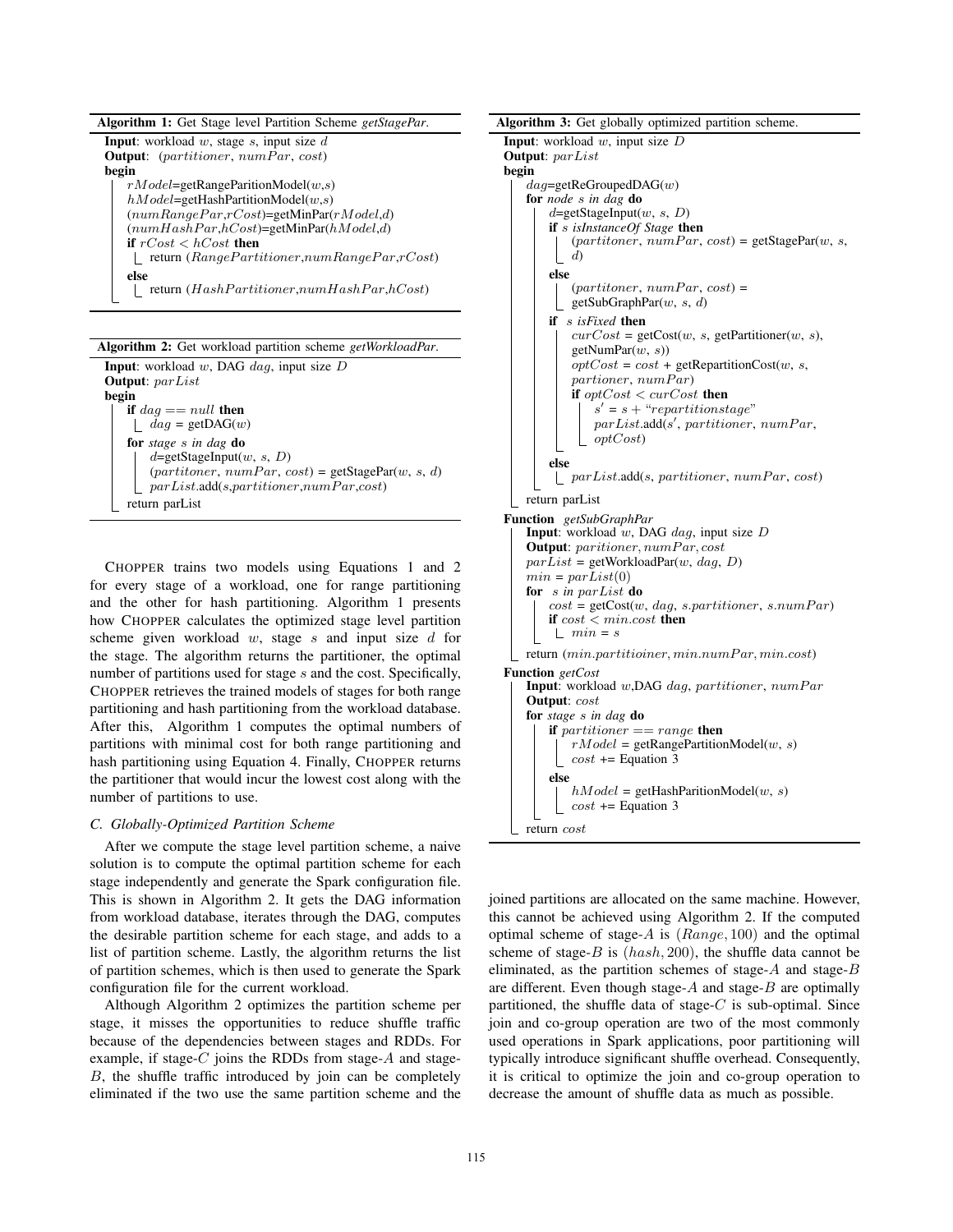| Algorithm 1: Get Stage level Partition Scheme getStagePar. |  |  |  |  |  |  |
|------------------------------------------------------------|--|--|--|--|--|--|
|------------------------------------------------------------|--|--|--|--|--|--|

| <b>Input:</b> workload w, stage s, input size $d$ |
|---------------------------------------------------|
| <b>Output:</b> (partitioner, numPar, cost)        |
| begin                                             |
| $rModel = getRangePartitionModel(w,s)$            |
| $hModel = getHashPartitionModel(w,s)$             |
| $(numRangePar, rCost) = getMinPar(rModel, d)$     |
| $(numHashPar,hCost) = getMinPar(hModel,d)$        |
| if $rCost < hCost$ then                           |
| return $(RangePartitioner, numRangePar, rCost)$   |
| else                                              |
| return $(HashPartitioner, numHashPar,hCost)$      |

Algorithm 2: Get workload partition scheme *getWorkloadPar*.

```
Input: workload w, DAG dag, input size DOutput: parList
begin
   if dag == null then
    \lfloor \bar{d}ag = \text{getDAG}(w)for stage s in dag do
        d=getStageInput(w, s, D)(partitoner, numPar, cost) = getStagePar(w, s, d)parList.add(s,partitioner,numPar,cost)return parList
```
CHOPPER trains two models using Equations 1 and 2 for every stage of a workload, one for range partitioning and the other for hash partitioning. Algorithm 1 presents how CHOPPER calculates the optimized stage level partition scheme given workload  $w$ , stage  $s$  and input size  $d$  for the stage. The algorithm returns the partitioner, the optimal number of partitions used for stage s and the cost. Specifically, CHOPPER retrieves the trained models of stages for both range partitioning and hash partitioning from the workload database. After this, Algorithm 1 computes the optimal numbers of partitions with minimal cost for both range partitioning and hash partitioning using Equation 4. Finally, CHOPPER returns the partitioner that would incur the lowest cost along with the number of partitions to use.

## *C. Globally-Optimized Partition Scheme*

After we compute the stage level partition scheme, a naive solution is to compute the optimal partition scheme for each stage independently and generate the Spark configuration file. This is shown in Algorithm 2. It gets the DAG information from workload database, iterates through the DAG, computes the desirable partition scheme for each stage, and adds to a list of partition scheme. Lastly, the algorithm returns the list of partition schemes, which is then used to generate the Spark configuration file for the current workload.

Although Algorithm 2 optimizes the partition scheme per stage, it misses the opportunities to reduce shuffle traffic because of the dependencies between stages and RDDs. For example, if stage- $C$  joins the RDDs from stage- $A$  and stage-B, the shuffle traffic introduced by join can be completely eliminated if the two use the same partition scheme and the

```
Algorithm 3: Get globally optimized partition scheme.
 Input: workload w, input size DOutput: parList
 begin
     daq = getRefroupedDAG(w)for node s in dag do
         d = getStageInput(w, s, D)if s isInstanceOf Stage then
            (partitoner, numPar, cost) = getStagePar(w, s,d)
         else
            {\rm (partitoner, numPar, cost)} =getSubGraphPar(w, s, d)if s isFixed then
            curCost = getCost(w, s, getPartitioner(w, s),getNumPar(w, s))
            optCost = cost + getRepartitionCost(w, s,partioner, \; numPar)if optCost < curCost then
                 s' = s + "repartition stage"parList.add(s', partitioner, numPar,optCost)
         else
         \mathop{\llcorner}\, parList.\text{add}(s,\,partitioner,\,numPar,\,cost)return parList
 Function getSubGraphPar
     Input: workload w, DAG daq, input size DOutput: paritioner, numPar, cost
     parList = getWorkloadPar(w, dag, D)min = parList(0)for s in parList do
         cost = getCost(w, dag, s.path.if cost \leq min. cost then
         L \text{ min} = sreturn (min-partitioner, min.numPar, min.cost)Function getCost
     Input: workload w, DAG dag, partitioner, numPar
     Output: cost
     for stage s in dag do
         if partitioner == range then
            rModel = getRangePartitionModel(w, s)cost += Equation 3
         else
            hModel = getHashPartitionModel(w, s)cost \leftarrow \text{Equation 3}return cost
```
joined partitions are allocated on the same machine. However, this cannot be achieved using Algorithm 2. If the computed optimal scheme of stage-A is  $(Range, 100)$  and the optimal scheme of stage- $B$  is  $(hash, 200)$ , the shuffle data cannot be eliminated, as the partition schemes of stage- $A$  and stage- $B$ are different. Even though stage- $A$  and stage- $B$  are optimally partitioned, the shuffle data of stage- $C$  is sub-optimal. Since join and co-group operation are two of the most commonly used operations in Spark applications, poor partitioning will typically introduce significant shuffle overhead. Consequently, it is critical to optimize the join and co-group operation to decrease the amount of shuffle data as much as possible.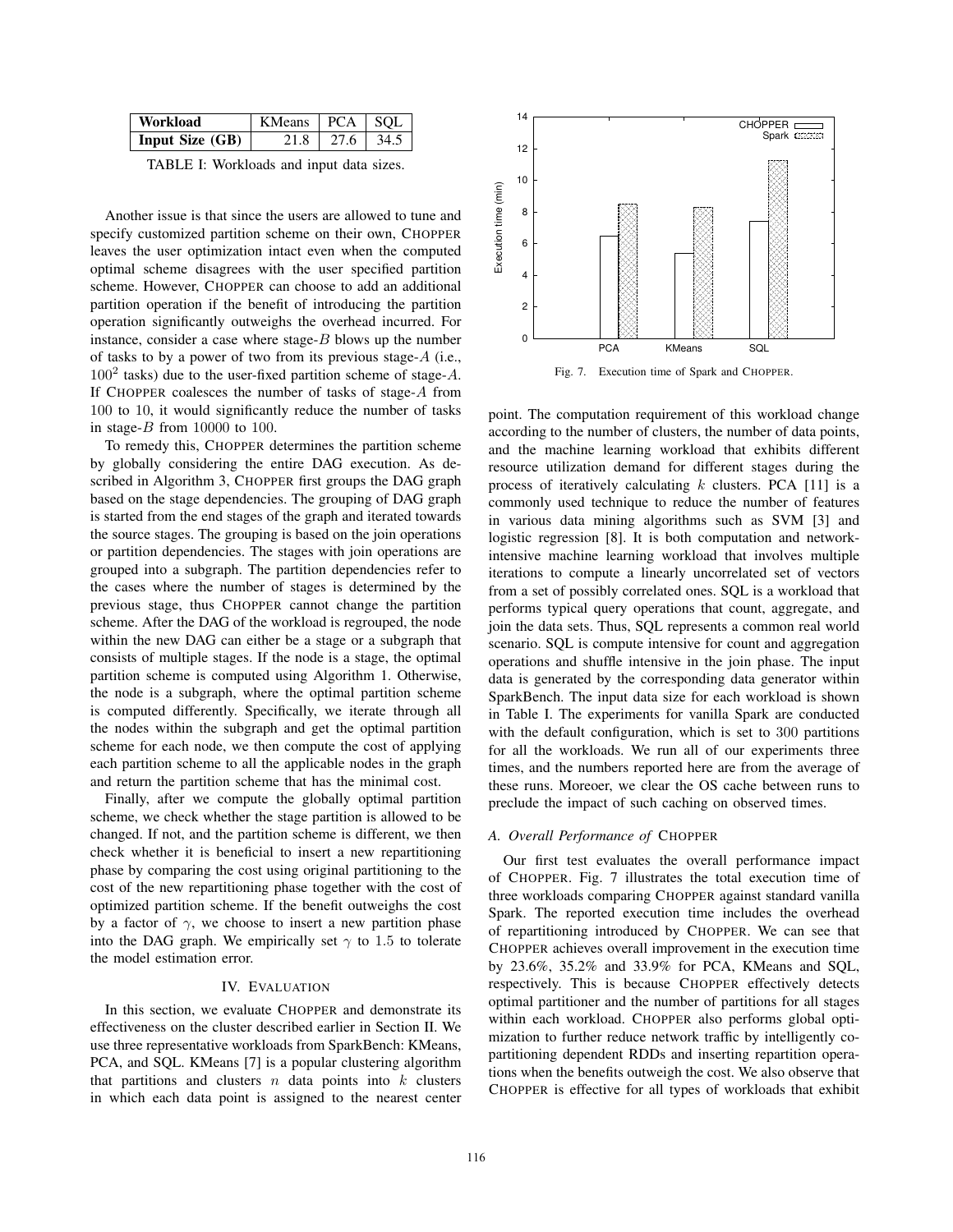| Workload               | KMeans   PCA |      | ' SOL |
|------------------------|--------------|------|-------|
| <b>Input Size (GB)</b> | 21.8         | 27.6 | 34.5  |

TABLE I: Workloads and input data sizes.

Another issue is that since the users are allowed to tune and specify customized partition scheme on their own, CHOPPER leaves the user optimization intact even when the computed optimal scheme disagrees with the user specified partition scheme. However, CHOPPER can choose to add an additional partition operation if the benefit of introducing the partition operation significantly outweighs the overhead incurred. For instance, consider a case where stage- $B$  blows up the number of tasks to by a power of two from its previous stage-A (i.e.,  $100<sup>2</sup>$  tasks) due to the user-fixed partition scheme of stage-A. If CHOPPER coalesces the number of tasks of stage-A from 100 to 10, it would significantly reduce the number of tasks in stage-B from 10000 to 100.

To remedy this, CHOPPER determines the partition scheme by globally considering the entire DAG execution. As described in Algorithm 3, CHOPPER first groups the DAG graph based on the stage dependencies. The grouping of DAG graph is started from the end stages of the graph and iterated towards the source stages. The grouping is based on the join operations or partition dependencies. The stages with join operations are grouped into a subgraph. The partition dependencies refer to the cases where the number of stages is determined by the previous stage, thus CHOPPER cannot change the partition scheme. After the DAG of the workload is regrouped, the node within the new DAG can either be a stage or a subgraph that consists of multiple stages. If the node is a stage, the optimal partition scheme is computed using Algorithm 1. Otherwise, the node is a subgraph, where the optimal partition scheme is computed differently. Specifically, we iterate through all the nodes within the subgraph and get the optimal partition scheme for each node, we then compute the cost of applying each partition scheme to all the applicable nodes in the graph and return the partition scheme that has the minimal cost.

Finally, after we compute the globally optimal partition scheme, we check whether the stage partition is allowed to be changed. If not, and the partition scheme is different, we then check whether it is beneficial to insert a new repartitioning phase by comparing the cost using original partitioning to the cost of the new repartitioning phase together with the cost of optimized partition scheme. If the benefit outweighs the cost by a factor of  $\gamma$ , we choose to insert a new partition phase into the DAG graph. We empirically set  $\gamma$  to 1.5 to tolerate the model estimation error.

## IV. EVALUATION

In this section, we evaluate CHOPPER and demonstrate its effectiveness on the cluster described earlier in Section II. We use three representative workloads from SparkBench: KMeans, PCA, and SQL. KMeans [7] is a popular clustering algorithm that partitions and clusters  $n$  data points into  $k$  clusters in which each data point is assigned to the nearest center



Fig. 7. Execution time of Spark and CHOPPER.

point. The computation requirement of this workload change according to the number of clusters, the number of data points, and the machine learning workload that exhibits different resource utilization demand for different stages during the process of iteratively calculating  $k$  clusters. PCA [11] is a commonly used technique to reduce the number of features in various data mining algorithms such as SVM [3] and logistic regression [8]. It is both computation and networkintensive machine learning workload that involves multiple iterations to compute a linearly uncorrelated set of vectors from a set of possibly correlated ones. SQL is a workload that performs typical query operations that count, aggregate, and join the data sets. Thus, SQL represents a common real world scenario. SQL is compute intensive for count and aggregation operations and shuffle intensive in the join phase. The input data is generated by the corresponding data generator within SparkBench. The input data size for each workload is shown in Table I. The experiments for vanilla Spark are conducted with the default configuration, which is set to 300 partitions for all the workloads. We run all of our experiments three times, and the numbers reported here are from the average of these runs. Moreoer, we clear the OS cache between runs to preclude the impact of such caching on observed times.

## *A. Overall Performance of* CHOPPER

Our first test evaluates the overall performance impact of CHOPPER. Fig. 7 illustrates the total execution time of three workloads comparing CHOPPER against standard vanilla Spark. The reported execution time includes the overhead of repartitioning introduced by CHOPPER. We can see that CHOPPER achieves overall improvement in the execution time by 23.6%, 35.2% and 33.9% for PCA, KMeans and SQL, respectively. This is because CHOPPER effectively detects optimal partitioner and the number of partitions for all stages within each workload. CHOPPER also performs global optimization to further reduce network traffic by intelligently copartitioning dependent RDDs and inserting repartition operations when the benefits outweigh the cost. We also observe that CHOPPER is effective for all types of workloads that exhibit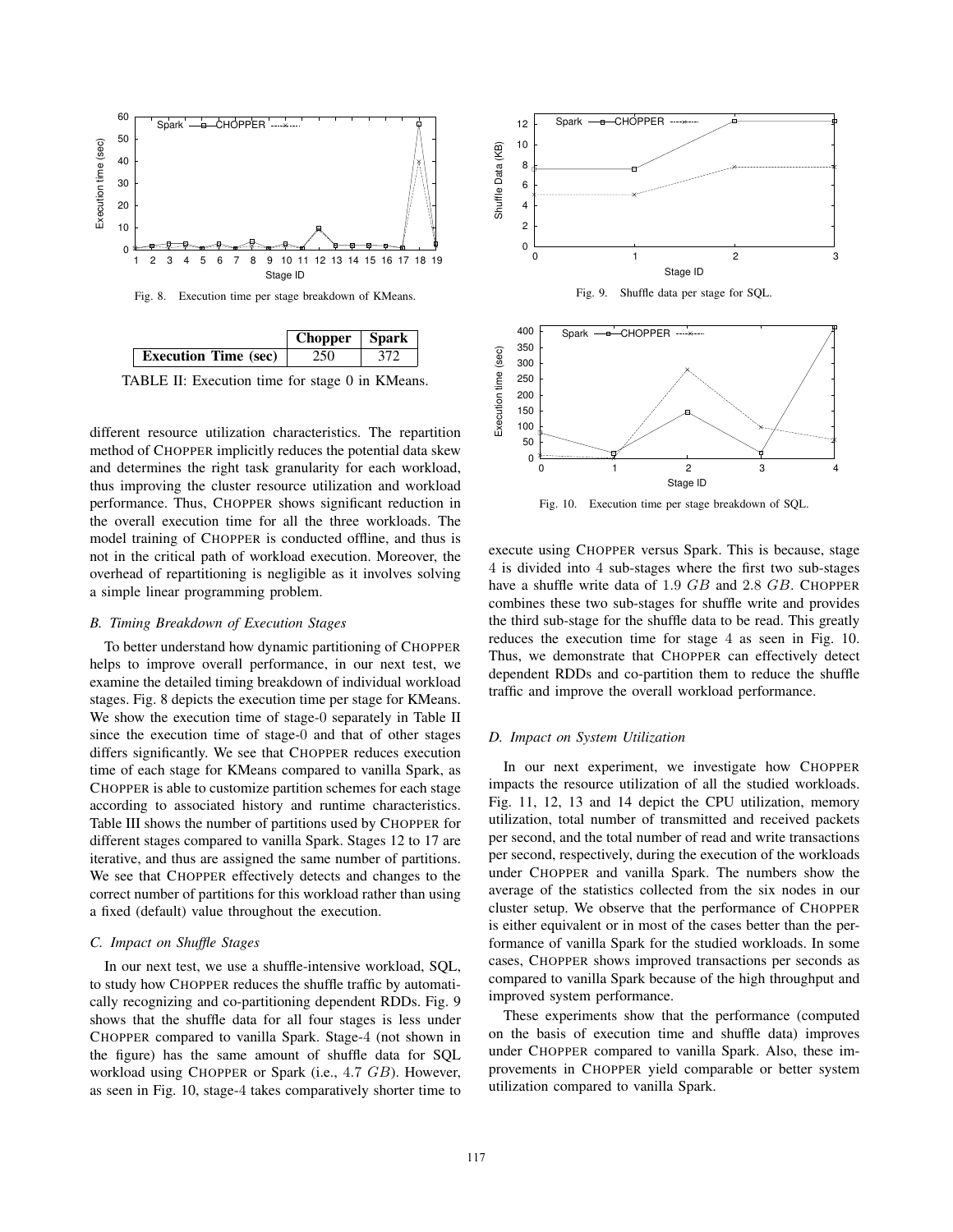

Fig. 8. Execution time per stage breakdown of KMeans.

|                                    | Chopper   Spark |  |
|------------------------------------|-----------------|--|
| Execution Time (sec) $\frac{1}{2}$ | 250             |  |
|                                    |                 |  |

TABLE II: Execution time for stage 0 in KMeans.

different resource utilization characteristics. The repartition method of CHOPPER implicitly reduces the potential data skew and determines the right task granularity for each workload, thus improving the cluster resource utilization and workload performance. Thus, CHOPPER shows significant reduction in the overall execution time for all the three workloads. The model training of CHOPPER is conducted offline, and thus is not in the critical path of workload execution. Moreover, the overhead of repartitioning is negligible as it involves solving a simple linear programming problem.

#### *B. Timing Breakdown of Execution Stages*

To better understand how dynamic partitioning of CHOPPER helps to improve overall performance, in our next test, we examine the detailed timing breakdown of individual workload stages. Fig. 8 depicts the execution time per stage for KMeans. We show the execution time of stage-0 separately in Table II since the execution time of stage-0 and that of other stages differs significantly. We see that CHOPPER reduces execution time of each stage for KMeans compared to vanilla Spark, as CHOPPER is able to customize partition schemes for each stage according to associated history and runtime characteristics. Table III shows the number of partitions used by CHOPPER for different stages compared to vanilla Spark. Stages 12 to 17 are iterative, and thus are assigned the same number of partitions. We see that CHOPPER effectively detects and changes to the correct number of partitions for this workload rather than using a fixed (default) value throughout the execution.

## *C. Impact on Shuffle Stages*

In our next test, we use a shuffle-intensive workload, SQL, to study how CHOPPER reduces the shuffle traffic by automatically recognizing and co-partitioning dependent RDDs. Fig. 9 shows that the shuffle data for all four stages is less under CHOPPER compared to vanilla Spark. Stage-4 (not shown in the figure) has the same amount of shuffle data for SQL workload using CHOPPER or Spark (i.e., 4.7 GB). However, as seen in Fig. 10, stage-4 takes comparatively shorter time to



Fig. 10. Execution time per stage breakdown of SQL.

execute using CHOPPER versus Spark. This is because, stage 4 is divided into 4 sub-stages where the first two sub-stages have a shuffle write data of 1.9 GB and 2.8 GB. CHOPPER combines these two sub-stages for shuffle write and provides the third sub-stage for the shuffle data to be read. This greatly reduces the execution time for stage 4 as seen in Fig. 10. Thus, we demonstrate that CHOPPER can effectively detect dependent RDDs and co-partition them to reduce the shuffle traffic and improve the overall workload performance.

#### *D. Impact on System Utilization*

In our next experiment, we investigate how CHOPPER impacts the resource utilization of all the studied workloads. Fig. 11, 12, 13 and 14 depict the CPU utilization, memory utilization, total number of transmitted and received packets per second, and the total number of read and write transactions per second, respectively, during the execution of the workloads under CHOPPER and vanilla Spark. The numbers show the average of the statistics collected from the six nodes in our cluster setup. We observe that the performance of CHOPPER is either equivalent or in most of the cases better than the performance of vanilla Spark for the studied workloads. In some cases, CHOPPER shows improved transactions per seconds as compared to vanilla Spark because of the high throughput and improved system performance.

These experiments show that the performance (computed on the basis of execution time and shuffle data) improves under CHOPPER compared to vanilla Spark. Also, these improvements in CHOPPER yield comparable or better system utilization compared to vanilla Spark.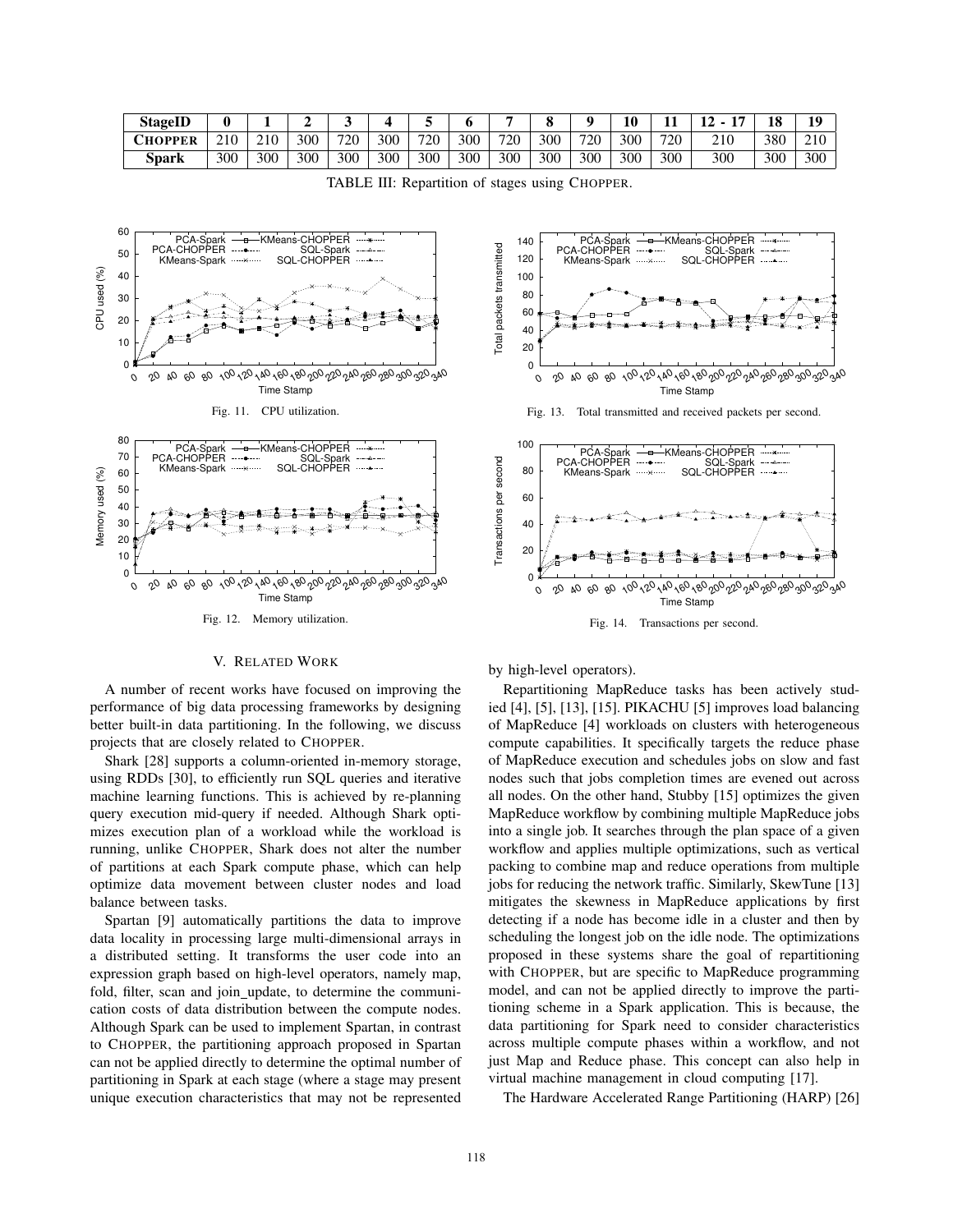| <b>StageID</b> |     |     |     | ັ   |     |     |     |     |     |     | 10  |     |     | 18  | 19  |
|----------------|-----|-----|-----|-----|-----|-----|-----|-----|-----|-----|-----|-----|-----|-----|-----|
| <b>CHOPPER</b> | 210 | 210 | 300 | 720 | 300 | 720 | 300 | 720 | 300 | 720 | 300 | 720 | 210 | 380 | 210 |
| Spark          | 300 | 300 | 300 | 300 | 300 | 300 | 300 | 300 | 300 | 300 | 300 | 300 | 300 | 300 | 300 |

TABLE III: Repartition of stages using CHOPPER.





A number of recent works have focused on improving the performance of big data processing frameworks by designing better built-in data partitioning. In the following, we discuss projects that are closely related to CHOPPER.

Shark [28] supports a column-oriented in-memory storage, using RDDs [30], to efficiently run SQL queries and iterative machine learning functions. This is achieved by re-planning query execution mid-query if needed. Although Shark optimizes execution plan of a workload while the workload is running, unlike CHOPPER, Shark does not alter the number of partitions at each Spark compute phase, which can help optimize data movement between cluster nodes and load balance between tasks.

Spartan [9] automatically partitions the data to improve data locality in processing large multi-dimensional arrays in a distributed setting. It transforms the user code into an expression graph based on high-level operators, namely map, fold, filter, scan and join\_update, to determine the communication costs of data distribution between the compute nodes. Although Spark can be used to implement Spartan, in contrast to CHOPPER, the partitioning approach proposed in Spartan can not be applied directly to determine the optimal number of partitioning in Spark at each stage (where a stage may present unique execution characteristics that may not be represented



by high-level operators).

Repartitioning MapReduce tasks has been actively studied [4], [5], [13], [15]. PIKACHU [5] improves load balancing of MapReduce [4] workloads on clusters with heterogeneous compute capabilities. It specifically targets the reduce phase of MapReduce execution and schedules jobs on slow and fast nodes such that jobs completion times are evened out across all nodes. On the other hand, Stubby [15] optimizes the given MapReduce workflow by combining multiple MapReduce jobs into a single job. It searches through the plan space of a given workflow and applies multiple optimizations, such as vertical packing to combine map and reduce operations from multiple jobs for reducing the network traffic. Similarly, SkewTune [13] mitigates the skewness in MapReduce applications by first detecting if a node has become idle in a cluster and then by scheduling the longest job on the idle node. The optimizations proposed in these systems share the goal of repartitioning with CHOPPER, but are specific to MapReduce programming model, and can not be applied directly to improve the partitioning scheme in a Spark application. This is because, the data partitioning for Spark need to consider characteristics across multiple compute phases within a workflow, and not just Map and Reduce phase. This concept can also help in virtual machine management in cloud computing [17].

The Hardware Accelerated Range Partitioning (HARP) [26]